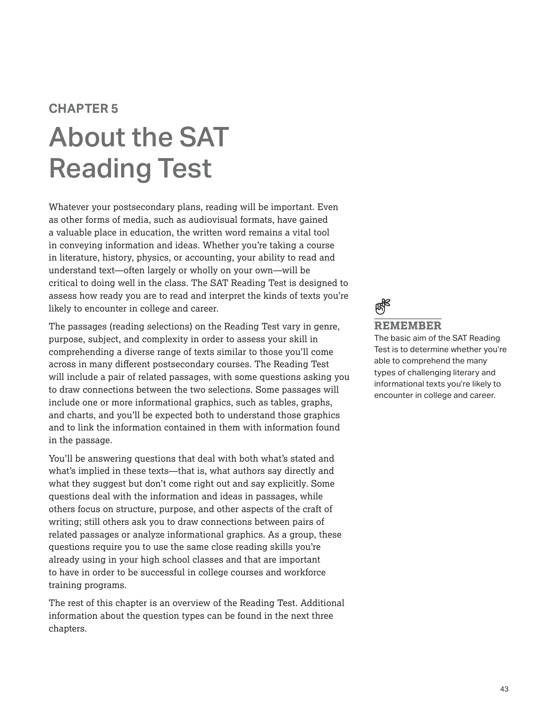## **CHAPTER 5** About the SAT Reading Test

Whatever your postsecondary plans, reading will be important. Even as other forms of media, such as audiovisual formats, have gained a valuable place in education, the written word remains a vital tool in conveying information and ideas. Whether you're taking a course in literature, history, physics, or accounting, your ability to read and understand text—often largely or wholly on your own—will be critical to doing well in the class. The SAT Reading Test is designed to assess how ready you are to read and interpret the kinds of texts you're likely to encounter in college and career.

The passages (reading selections) on the Reading Test vary in genre, purpose, subject, and complexity in order to assess your skill in comprehending a diverse range of texts similar to those you'll come across in many different postsecondary courses. The Reading Test will include a pair of related passages, with some questions asking you to draw connections between the two selections. Some passages will include one or more informational graphics, such as tables, graphs, and charts, and you'll be expected both to understand those graphics and to link the information contained in them with information found in the passage.

You'll be answering questions that deal with both what's stated and what's implied in these texts—that is, what authors say directly and what they suggest but don't come right out and say explicitly. Some questions deal with the information and ideas in passages, while others focus on structure, purpose, and other aspects of the craft of writing; still others ask you to draw connections between pairs of related passages or analyze informational graphics. As a group, these questions require you to use the same close reading skills you're already using in your high school classes and that are important to have in order to be successful in college courses and workforce training programs.

The rest of this chapter is an overview of the Reading Test. Additional information about the question types can be found in the next three chapters.

### ্ষী **REMEMBER**

The basic aim of the SAT Reading Test is to determine whether you're able to comprehend the many types of challenging literary and informational texts you're likely to encounter in college and career.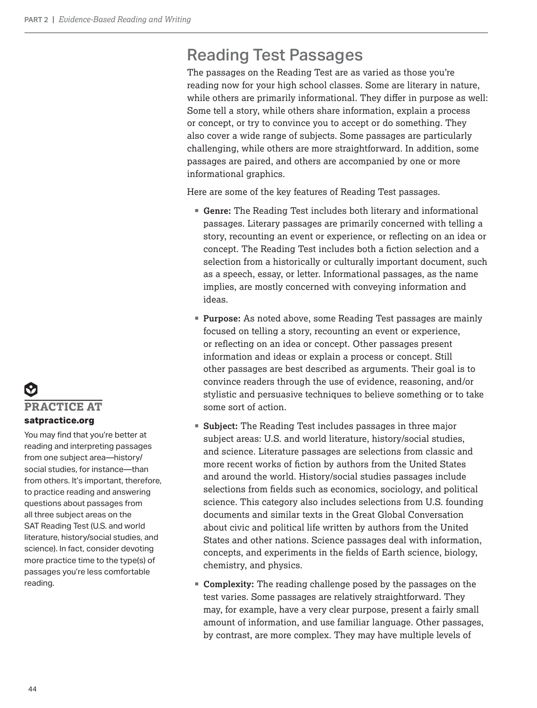## Reading Test Passages

The passages on the Reading Test are as varied as those you're reading now for your high school classes. Some are literary in nature, while others are primarily informational. They differ in purpose as well: Some tell a story, while others share information, explain a process or concept, or try to convince you to accept or do something. They also cover a wide range of subjects. Some passages are particularly challenging, while others are more straightforward. In addition, some passages are paired, and others are accompanied by one or more informational graphics.

Here are some of the key features of Reading Test passages.

- § **Genre:** The Reading Test includes both literary and informational passages. Literary passages are primarily concerned with telling a story, recounting an event or experience, or reflecting on an idea or concept. The Reading Test includes both a fiction selection and a selection from a historically or culturally important document, such as a speech, essay, or letter. Informational passages, as the name implies, are mostly concerned with conveying information and ideas.
- § **Purpose:** As noted above, some Reading Test passages are mainly focused on telling a story, recounting an event or experience, or reflecting on an idea or concept. Other passages present information and ideas or explain a process or concept. Still other passages are best described as arguments. Their goal is to convince readers through the use of evidence, reasoning, and/or stylistic and persuasive techniques to believe something or to take some sort of action.
- § **Subject:** The Reading Test includes passages in three major subject areas: U.S. and world literature, history/social studies, and science. Literature passages are selections from classic and more recent works of fiction by authors from the United States and around the world. History/social studies passages include selections from fields such as economics, sociology, and political science. This category also includes selections from U.S. founding documents and similar texts in the Great Global Conversation about civic and political life written by authors from the United States and other nations. Science passages deal with information, concepts, and experiments in the fields of Earth science, biology, chemistry, and physics.
- § **Complexity:** The reading challenge posed by the passages on the test varies. Some passages are relatively straightforward. They may, for example, have a very clear purpose, present a fairly small amount of information, and use familiar language. Other passages, by contrast, are more complex. They may have multiple levels of

## **PRACTICE AT [satpractice.org](http://satpractice.org)**

You may find that you're better at reading and interpreting passages from one subject area—history/ social studies, for instance—than from others. It's important, therefore, to practice reading and answering questions about passages from all three subject areas on the SAT Reading Test (U.S. and world literature, history/social studies, and science). In fact, consider devoting more practice time to the type(s) of passages you're less comfortable reading.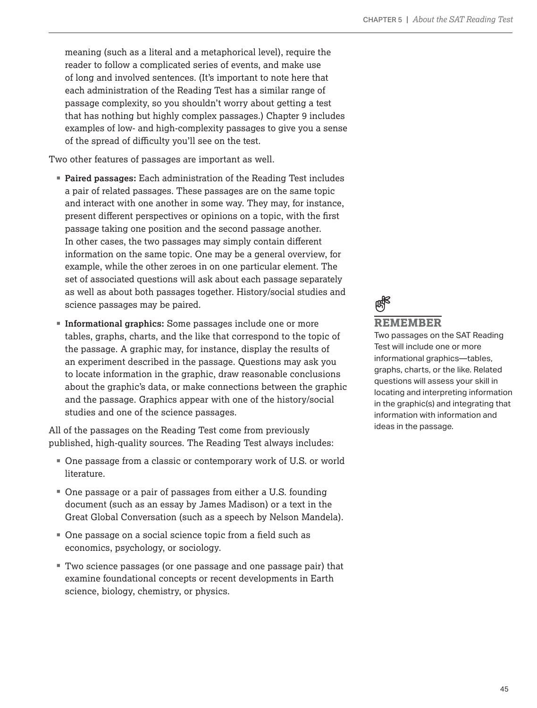meaning (such as a literal and a metaphorical level), require the reader to follow a complicated series of events, and make use of long and involved sentences. (It's important to note here that each administration of the Reading Test has a similar range of passage complexity, so you shouldn't worry about getting a test that has nothing but highly complex passages.) Chapter 9 includes examples of low- and high-complexity passages to give you a sense of the spread of difficulty you'll see on the test.

Two other features of passages are important as well.

- § **Paired passages:** Each administration of the Reading Test includes a pair of related passages. These passages are on the same topic and interact with one another in some way. They may, for instance, present different perspectives or opinions on a topic, with the first passage taking one position and the second passage another. In other cases, the two passages may simply contain different information on the same topic. One may be a general overview, for example, while the other zeroes in on one particular element. The set of associated questions will ask about each passage separately as well as about both passages together. History/social studies and science passages may be paired.
- § **Informational graphics:** Some passages include one or more tables, graphs, charts, and the like that correspond to the topic of the passage. A graphic may, for instance, display the results of an experiment described in the passage. Questions may ask you to locate information in the graphic, draw reasonable conclusions about the graphic's data, or make connections between the graphic and the passage. Graphics appear with one of the history/social studies and one of the science passages.

All of the passages on the Reading Test come from previously ideas in the passage. published, high-quality sources. The Reading Test always includes:

- One passage from a classic or contemporary work of U.S. or world literature.
- One passage or a pair of passages from either a U.S. founding document (such as an essay by James Madison) or a text in the Great Global Conversation (such as a speech by Nelson Mandela).
- One passage on a social science topic from a field such as economics, psychology, or sociology.
- § Two science passages (or one passage and one passage pair) that examine foundational concepts or recent developments in Earth science, biology, chemistry, or physics.

### 咪 **REMEMBER**

Two passages on the SAT Reading Test will include one or more informational graphics—tables, graphs, charts, or the like. Related questions will assess your skill in locating and interpreting information in the graphic(s) and integrating that information with information and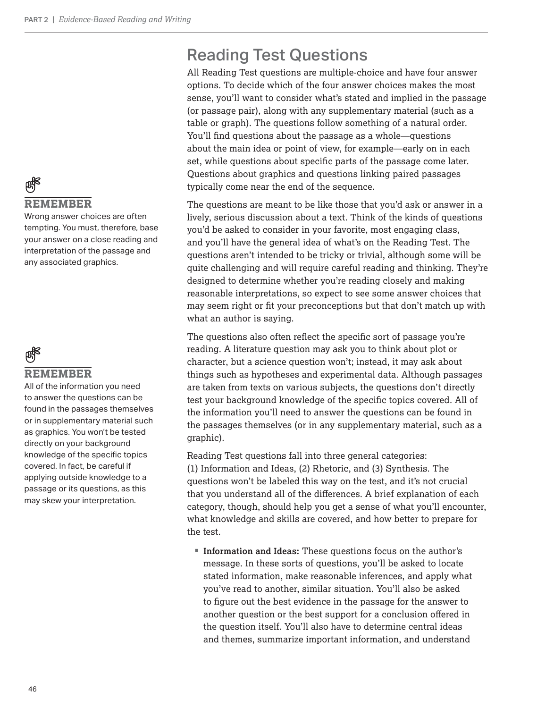

#### **REMEMBER**

Wrong answer choices are often tempting. You must, therefore, base your answer on a close reading and interpretation of the passage and any associated graphics.

#### **REMEMBER**

All of the information you need to answer the questions can be found in the passages themselves or in supplementary material such as graphics. You won't be tested directly on your background knowledge of the specific topics covered. In fact, be careful if applying outside knowledge to a passage or its questions, as this may skew your interpretation.

## Reading Test Questions

All Reading Test questions are multiple-choice and have four answer options. To decide which of the four answer choices makes the most sense, you'll want to consider what's stated and implied in the passage (or passage pair), along with any supplementary material (such as a table or graph). The questions follow something of a natural order. You'll find questions about the passage as a whole—questions about the main idea or point of view, for example—early on in each set, while questions about specific parts of the passage come later. Questions about graphics and questions linking paired passages typically come near the end of the sequence.

The questions are meant to be like those that you'd ask or answer in a lively, serious discussion about a text. Think of the kinds of questions you'd be asked to consider in your favorite, most engaging class, and you'll have the general idea of what's on the Reading Test. The questions aren't intended to be tricky or trivial, although some will be quite challenging and will require careful reading and thinking. They're designed to determine whether you're reading closely and making reasonable interpretations, so expect to see some answer choices that may seem right or fit your preconceptions but that don't match up with what an author is saying.

The questions also often reflect the specific sort of passage you're reading. A literature question may ask you to think about plot or character, but a science question won't; instead, it may ask about things such as hypotheses and experimental data. Although passages are taken from texts on various subjects, the questions don't directly test your background knowledge of the specific topics covered. All of the information you'll need to answer the questions can be found in the passages themselves (or in any supplementary material, such as a graphic).

Reading Test questions fall into three general categories: (1) Information and Ideas, (2) Rhetoric, and (3) Synthesis. The questions won't be labeled this way on the test, and it's not crucial that you understand all of the differences. A brief explanation of each category, though, should help you get a sense of what you'll encounter, what knowledge and skills are covered, and how better to prepare for the test.

§ **Information and Ideas:** These questions focus on the author's message. In these sorts of questions, you'll be asked to locate stated information, make reasonable inferences, and apply what you've read to another, similar situation. You'll also be asked to figure out the best evidence in the passage for the answer to another question or the best support for a conclusion offered in the question itself. You'll also have to determine central ideas and themes, summarize important information, and understand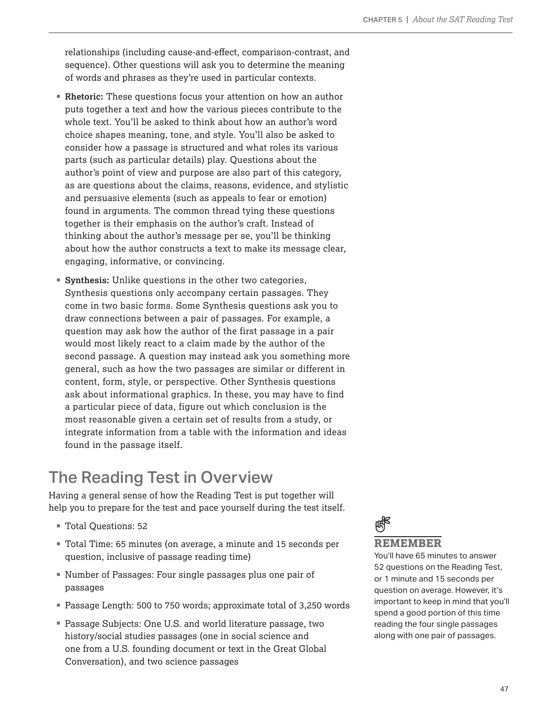relationships (including cause-and-effect, comparison-contrast, and sequence). Other questions will ask you to determine the meaning of words and phrases as they're used in particular contexts.

- § **Rhetoric:** These questions focus your attention on how an author puts together a text and how the various pieces contribute to the whole text. You'll be asked to think about how an author's word choice shapes meaning, tone, and style. You'll also be asked to consider how a passage is structured and what roles its various parts (such as particular details) play. Questions about the author's point of view and purpose are also part of this category, as are questions about the claims, reasons, evidence, and stylistic and persuasive elements (such as appeals to fear or emotion) found in arguments. The common thread tying these questions together is their emphasis on the author's craft. Instead of thinking about the author's message per se, you'll be thinking about how the author constructs a text to make its message clear, engaging, informative, or convincing.
- **Synthesis:** Unlike questions in the other two categories, Synthesis questions only accompany certain passages. They come in two basic forms. Some Synthesis questions ask you to draw connections between a pair of passages. For example, a question may ask how the author of the first passage in a pair would most likely react to a claim made by the author of the second passage. A question may instead ask you something more general, such as how the two passages are similar or different in content, form, style, or perspective. Other Synthesis questions ask about informational graphics. In these, you may have to find a particular piece of data, figure out which conclusion is the most reasonable given a certain set of results from a study, or integrate information from a table with the information and ideas found in the passage itself.

## The Reading Test in Overview

Having a general sense of how the Reading Test is put together will help you to prepare for the test and pace yourself during the test itself.

- Total Questions: 52
- § Total Time: 65 minutes (on average, a minute and 15 seconds per question, inclusive of passage reading time)
- Number of Passages: Four single passages plus one pair of passages
- Passage Length: 500 to 750 words; approximate total of 3,250 words
- Passage Subjects: One U.S. and world literature passage, two history/social studies passages (one in social science and one from a U.S. founding document or text in the Great Global Conversation), and two science passages

# **REMEMBER**

You'll have 65 minutes to answer 52 questions on the Reading Test, or 1 minute and 15 seconds per question on average. However, it's important to keep in mind that you'll spend a good portion of this time reading the four single passages along with one pair of passages.